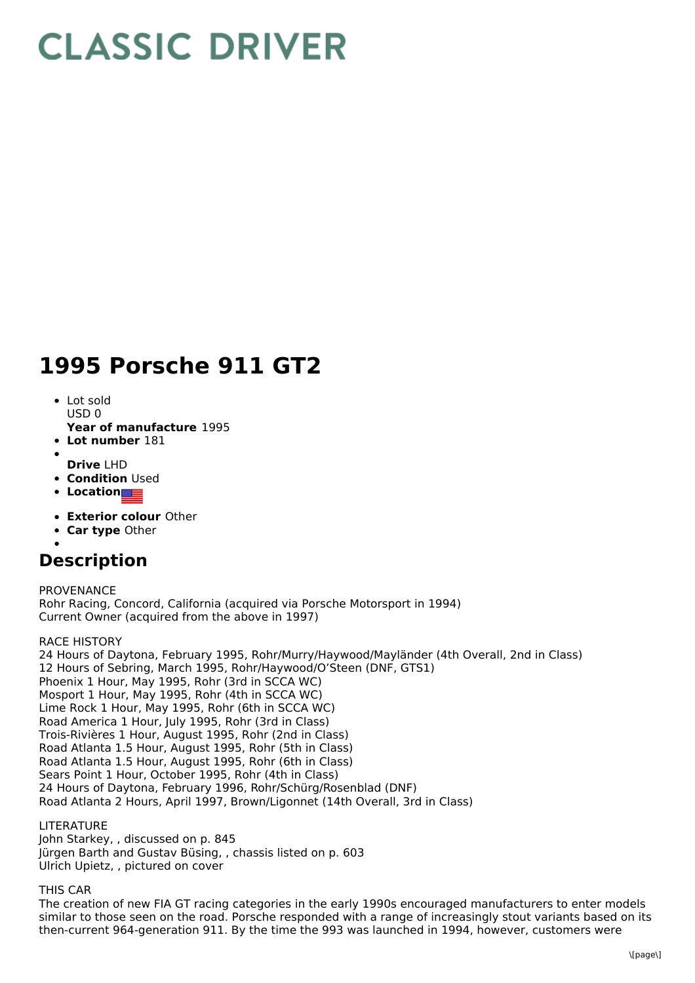## **CLASSIC DRIVER**

## **1995 Porsche 911 GT2**

- Lot sold USD 0
- **Year of manufacture** 1995
- **Lot number** 181
- **Drive** LHD
- **Condition Used**
- **Location**
- **Exterior colour** Other
- **Car type** Other
- 

## **Description**

PROVENANCE Rohr Racing, Concord, California (acquired via Porsche Motorsport in 1994) Current Owner (acquired from the above in 1997)

RACE HISTORY

24 Hours of Daytona, February 1995, Rohr/Murry/Haywood/Mayländer (4th Overall, 2nd in Class) 12 Hours of Sebring, March 1995, Rohr/Haywood/O'Steen (DNF, GTS1) Phoenix 1 Hour, May 1995, Rohr (3rd in SCCA WC) Mosport 1 Hour, May 1995, Rohr (4th in SCCA WC) Lime Rock 1 Hour, May 1995, Rohr (6th in SCCA WC) Road America 1 Hour, July 1995, Rohr (3rd in Class) Trois-Rivières 1 Hour, August 1995, Rohr (2nd in Class) Road Atlanta 1.5 Hour, August 1995, Rohr (5th in Class) Road Atlanta 1.5 Hour, August 1995, Rohr (6th in Class) Sears Point 1 Hour, October 1995, Rohr (4th in Class) 24 Hours of Daytona, February 1996, Rohr/Schürg/Rosenblad (DNF) Road Atlanta 2 Hours, April 1997, Brown/Ligonnet (14th Overall, 3rd in Class)

## LITERATURE

John Starkey, , discussed on p. 845 Jürgen Barth and Gustav Büsing, , chassis listed on p. 603 Ulrich Upietz, , pictured on cover

THIS CAR

The creation of new FIA GT racing categories in the early 1990s encouraged manufacturers to enter models similar to those seen on the road. Porsche responded with a range of increasingly stout variants based on its then-current 964-generation 911. By the time the 993 was launched in 1994, however, customers were